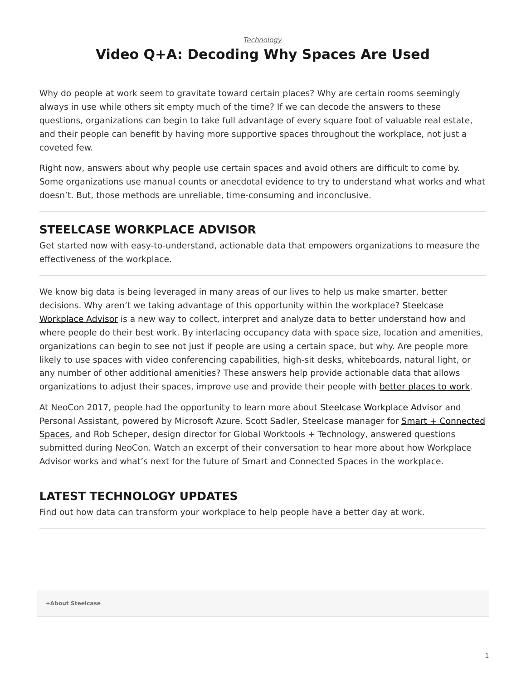## *[Technology](https://www.steelcase.com/research/topics/technology/)*

## <span id="page-0-0"></span>**Video Q+A: Decoding Why Spaces Are Used**

Why do people at work seem to gravitate toward certain places? Why are certain rooms seemingly always in use while others sit empty much of the time? If we can decode the answers to these questions, organizations can begin to take full advantage of every square foot of valuable real estate, and their people can benefit by having more supportive spaces throughout the workplace, not just a coveted few.

Right now, answers about why people use certain spaces and avoid others are difficult to come by. Some organizations use manual counts or anecdotal evidence to try to understand what works and what doesn't. But, those methods are unreliable, time-consuming and inconclusive.

## **STEELCASE WORKPLACE ADVISOR**

Get started now with easy-to-understand, actionable data that empowers organizations to measure the effectiveness of the workplace.

We know big data is being leveraged in many areas of our lives to help us make smarter, better decisions. Why aren't we taking advantage of this opportunity within the workplace? [Steelcase](https://info.steelcase.com/workplace-advisor) [Workplace Advisor](https://info.steelcase.com/workplace-advisor) is a new way to collect, interpret and analyze data to better understand how and where people do their best work. By interlacing occupancy data with space size, location and amenities, organizations can begin to see not just if people are using a certain space, but why. Are people more likely to use spaces with video conferencing capabilities, high-sit desks, whiteboards, natural light, or any number of other additional amenities? These answers help provide actionable data that allows organizations to adjust their spaces, improve use and provide their people with [better places to work](https://www.steelcase.com/research/articles/topics/technology/driving-wellbeing-people/).

At NeoCon 2017, people had the opportunity to learn more about [Steelcase Workplace Advisor](https://info.steelcase.com/workplace-advisor) and Personal Assistant, powered by Microsoft Azure. Scott Sadler, Steelcase manager for [Smart + Connected](https://www.steelcase.com/research/articles/topics/technology/driving-wellbeing-people/) [Spaces](https://www.steelcase.com/research/articles/topics/technology/driving-wellbeing-people/), and Rob Scheper, design director for Global Worktools + Technology, answered questions submitted during NeoCon. Watch an excerpt of their conversation to hear more about how Workplace Advisor works and what's next for the future of Smart and Connected Spaces in the workplace.

## **LATEST TECHNOLOGY UPDATES**

Find out how data can transform your workplace to help people have a better day at work.